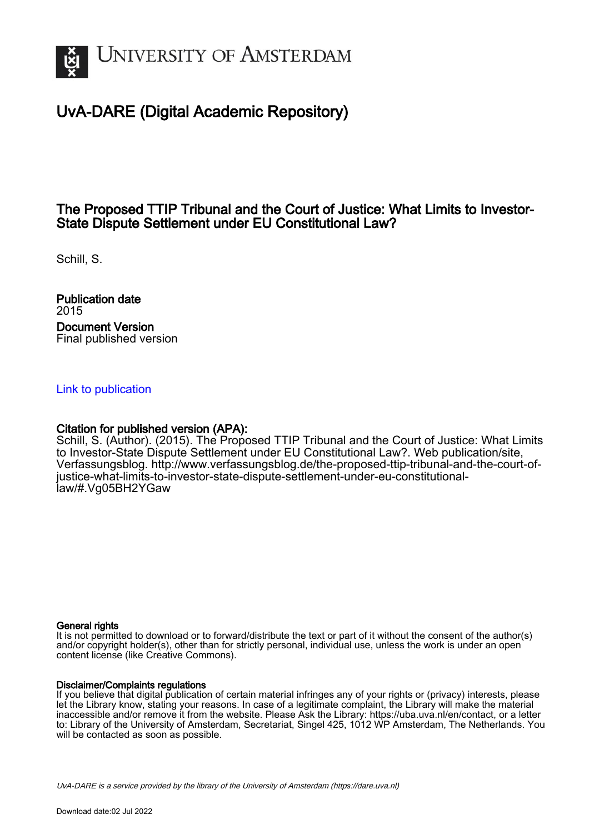

# UvA-DARE (Digital Academic Repository)

## The Proposed TTIP Tribunal and the Court of Justice: What Limits to Investor-State Dispute Settlement under EU Constitutional Law?

Schill, S.

Publication date 2015 Document Version Final published version

### [Link to publication](https://dare.uva.nl/personal/pure/en/publications/the-proposed-ttip-tribunal-and-the-court-of-justice-what-limits-to-investorstate-dispute-settlement-under-eu-constitutional-law(67a06565-7b4a-4aae-9644-0fc95f9f35ff).html)

### Citation for published version (APA):

Schill, S. (Author). (2015). The Proposed TTIP Tribunal and the Court of Justice: What Limits to Investor-State Dispute Settlement under EU Constitutional Law?. Web publication/site, Verfassungsblog. [http://www.verfassungsblog.de/the-proposed-ttip-tribunal-and-the-court-of](http://www.verfassungsblog.de/the-proposed-ttip-tribunal-and-the-court-of-justice-what-limits-to-investor-state-dispute-settlement-under-eu-constitutional-law/#.Vg05BH2YGaw)[justice-what-limits-to-investor-state-dispute-settlement-under-eu-constitutional](http://www.verfassungsblog.de/the-proposed-ttip-tribunal-and-the-court-of-justice-what-limits-to-investor-state-dispute-settlement-under-eu-constitutional-law/#.Vg05BH2YGaw)[law/#.Vg05BH2YGaw](http://www.verfassungsblog.de/the-proposed-ttip-tribunal-and-the-court-of-justice-what-limits-to-investor-state-dispute-settlement-under-eu-constitutional-law/#.Vg05BH2YGaw)

#### General rights

It is not permitted to download or to forward/distribute the text or part of it without the consent of the author(s) and/or copyright holder(s), other than for strictly personal, individual use, unless the work is under an open content license (like Creative Commons).

#### Disclaimer/Complaints regulations

If you believe that digital publication of certain material infringes any of your rights or (privacy) interests, please let the Library know, stating your reasons. In case of a legitimate complaint, the Library will make the material inaccessible and/or remove it from the website. Please Ask the Library: https://uba.uva.nl/en/contact, or a letter to: Library of the University of Amsterdam, Secretariat, Singel 425, 1012 WP Amsterdam, The Netherlands. You will be contacted as soon as possible.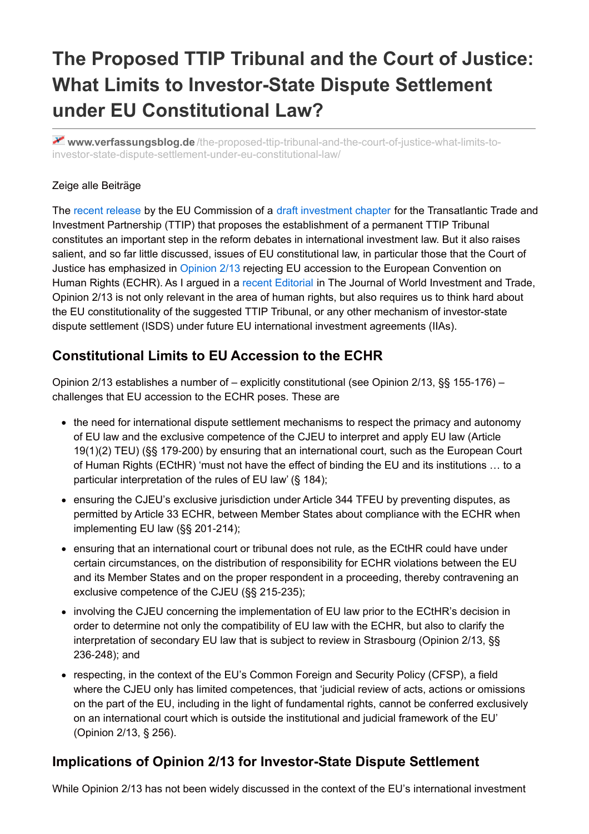# **The Proposed TTIP Tribunal and the Court of Justice: What Limits to Investor-State Dispute Settlement under EU Constitutional Law?**

**www.verfassungsblog.de** [/the-proposed-ttip-tribunal-and-the-court-of-justice-what-limits-to](http://www.verfassungsblog.de/the-proposed-ttip-tribunal-and-the-court-of-justice-what-limits-to-investor-state-dispute-settlement-under-eu-constitutional-law/)investor-state-dispute-settlement-under-eu-constitutional-law/

## Zeige alle Beiträge

The recent [release](http://europa.eu/rapid/press-release_IP-15-5651_en.htm) by the EU Commission of a draft [investment](http://trade.ec.europa.eu/doclib/docs/2015/september/tradoc_153807.pdf) chapter for the Transatlantic Trade and Investment Partnership (TTIP) that proposes the establishment of a permanent TTIP Tribunal constitutes an important step in the reform debates in international investment law. But it also raises salient, and so far little discussed, issues of EU constitutional law, in particular those that the Court of Justice has emphasized in [Opinion](http://eur-lex.europa.eu/legal-content/EN/TXT/HTML/?uri=CELEX:62013CV0002&rid=1) 2/13 rejecting EU accession to the European Convention on Human Rights (ECHR). As I argued in a recent [Editorial](http://booksandjournals.brillonline.com/content/journals/10.1163/22119000-01603000) in The Journal of World Investment and Trade, Opinion 2/13 is not only relevant in the area of human rights, but also requires us to think hard about the EU constitutionality of the suggested TTIP Tribunal, or any other mechanism of investor-state dispute settlement (ISDS) under future EU international investment agreements (IIAs).

## **Constitutional Limits to EU Accession to the ECHR**

Opinion 2/13 establishes a number of – explicitly constitutional (see Opinion 2/13, §§ 155-176) – challenges that EU accession to the ECHR poses. These are

- the need for international dispute settlement mechanisms to respect the primacy and autonomy of EU law and the exclusive competence of the CJEU to interpret and apply EU law (Article 19(1)(2) TEU) (§§ 179‑200) by ensuring that an international court, such as the European Court of Human Rights (ECtHR) 'must not have the effect of binding the EU and its institutions … to a particular interpretation of the rules of EU law' (§ 184);
- ensuring the CJEU's exclusive jurisdiction under Article 344 TFEU by preventing disputes, as permitted by Article 33 ECHR, between Member States about compliance with the ECHR when implementing EU law (§§ 201-214);
- ensuring that an international court or tribunal does not rule, as the ECtHR could have under certain circumstances, on the distribution of responsibility for ECHR violations between the EU and its Member States and on the proper respondent in a proceeding, thereby contravening an exclusive competence of the CJEU (§§ 215‑235);
- involving the CJEU concerning the implementation of EU law prior to the ECtHR's decision in order to determine not only the compatibility of EU law with the ECHR, but also to clarify the interpretation of secondary EU law that is subject to review in Strasbourg (Opinion 2/13, §§ 236‑248); and
- respecting, in the context of the EU's Common Foreign and Security Policy (CFSP), a field where the CJEU only has limited competences, that 'judicial review of acts, actions or omissions on the part of the EU, including in the light of fundamental rights, cannot be conferred exclusively on an international court which is outside the institutional and judicial framework of the EU' (Opinion 2/13, § 256).

## **Implications of Opinion 2/13 for Investor-State Dispute Settlement**

While Opinion 2/13 has not been widely discussed in the context of the EU's international investment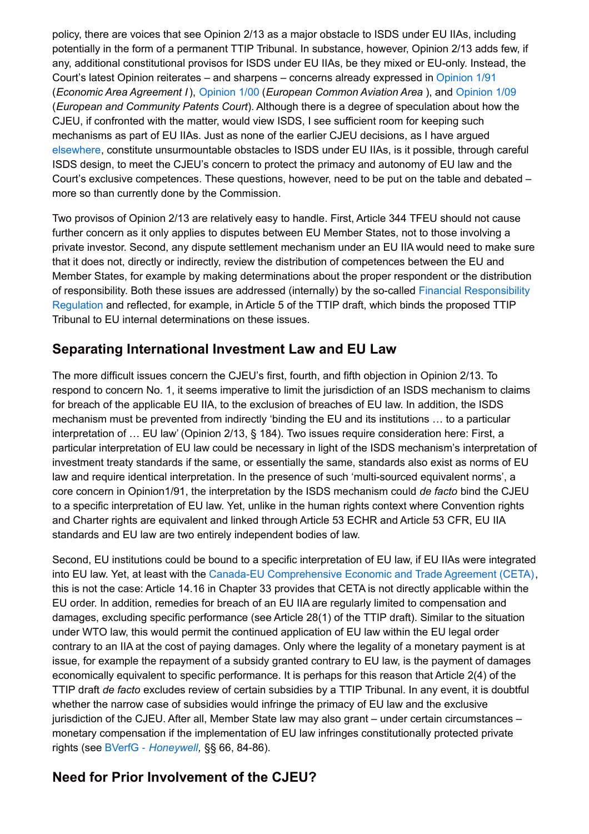policy, there are voices that see Opinion 2/13 as a major obstacle to ISDS under EU IIAs, including potentially in the form of a permanent TTIP Tribunal. In substance, however, Opinion 2/13 adds few, if any, additional constitutional provisos for ISDS under EU IIAs, be they mixed or EU-only. Instead, the Court's latest Opinion reiterates – and sharpens – concerns already expressed in [Opinion](http://eur-lex.europa.eu/legal-content/EN/TXT/HTML/?uri=CELEX:61991CV0001&rid=1) 1/91 (*Economic Area Agreement I*), [Opinion](http://eur-lex.europa.eu/legal-content/EN/TXT/HTML/?uri=CELEX:62000CV0001&rid=1) 1/00 (*European Common Aviation Area* ), and [Opinion](http://eur-lex.europa.eu/legal-content/EN/TXT/HTML/?uri=CELEX:62009CV0001&rid=1) 1/09 (*European and Community Patents Court*). Although there is a degree of speculation about how the CJEU, if confronted with the matter, would view ISDS, I see sufficient room for keeping such mechanisms as part of EU IIAs. Just as none of the earlier CJEU decisions, as I have argued [elsewhere](http://www.transnational-dispute-management.com/article.asp?key=1943), constitute unsurmountable obstacles to ISDS under EU IIAs, is it possible, through careful ISDS design, to meet the CJEU's concern to protect the primacy and autonomy of EU law and the Court's exclusive competences. These questions, however, need to be put on the table and debated – more so than currently done by the Commission.

Two provisos of Opinion 2/13 are relatively easy to handle. First, Article 344 TFEU should not cause further concern as it only applies to disputes between EU Member States, not to those involving a private investor. Second, any dispute settlement mechanism under an EU IIA would need to make sure that it does not, directly or indirectly, review the distribution of competences between the EU and Member States, for example by making determinations about the proper respondent or the distribution of responsibility. Both these issues are addressed (internally) by the so-called Financial [Responsibility](http://eur-lex.europa.eu/legal-content/EN/TXT/?uri=uriserv:OJ.L_.2014.257.01.0121.01.ENG) Regulation and reflected, for example, in Article 5 of the TTIP draft, which binds the proposed TTIP Tribunal to EU internal determinations on these issues.

## **Separating International Investment Law and EU Law**

The more difficult issues concern the CJEU's first, fourth, and fifth objection in Opinion 2/13. To respond to concern No. 1, it seems imperative to limit the jurisdiction of an ISDS mechanism to claims for breach of the applicable EU IIA, to the exclusion of breaches of EU law. In addition, the ISDS mechanism must be prevented from indirectly 'binding the EU and its institutions … to a particular interpretation of … EU law' (Opinion 2/13, § 184). Two issues require consideration here: First, a particular interpretation of EU law could be necessary in light of the ISDS mechanism's interpretation of investment treaty standards if the same, or essentially the same, standards also exist as norms of EU law and require identical interpretation. In the presence of such 'multi-sourced equivalent norms', a core concern in Opinion1/91, the interpretation by the ISDS mechanism could *de facto* bind the CJEU to a specific interpretation of EU law. Yet, unlike in the human rights context where Convention rights and Charter rights are equivalent and linked through Article 53 ECHR and Article 53 CFR, EU IIA standards and EU law are two entirely independent bodies of law.

Second, EU institutions could be bound to a specific interpretation of EU law, if EU IIAs were integrated into EU law. Yet, at least with the Canada-EU [Comprehensive](http://trade.ec.europa.eu/doclib/docs/2014/september/tradoc_152806.pdf) Economic and Trade Agreement (CETA), this is not the case: Article 14.16 in Chapter 33 provides that CETA is not directly applicable within the EU order. In addition, remedies for breach of an EU IIA are regularly limited to compensation and damages, excluding specific performance (see Article 28(1) of the TTIP draft). Similar to the situation under WTO law, this would permit the continued application of EU law within the EU legal order contrary to an IIA at the cost of paying damages. Only where the legality of a monetary payment is at issue, for example the repayment of a subsidy granted contrary to EU law, is the payment of damages economically equivalent to specific performance. It is perhaps for this reason that Article 2(4) of the TTIP draft *de facto* excludes review of certain subsidies by a TTIP Tribunal. In any event, it is doubtful whether the narrow case of subsidies would infringe the primacy of EU law and the exclusive jurisdiction of the CJEU. After all, Member State law may also grant – under certain circumstances – monetary compensation if the implementation of EU law infringes constitutionally protected private rights (see BVerfG ‑ *[Honeywell](http://www.bundesverfassungsgericht.de/SharedDocs/Entscheidungen/EN/2010/07/rs20100706_2bvr266106en.html),* §§ 66, 84‑86).

## **Need for Prior Involvement of the CJEU?**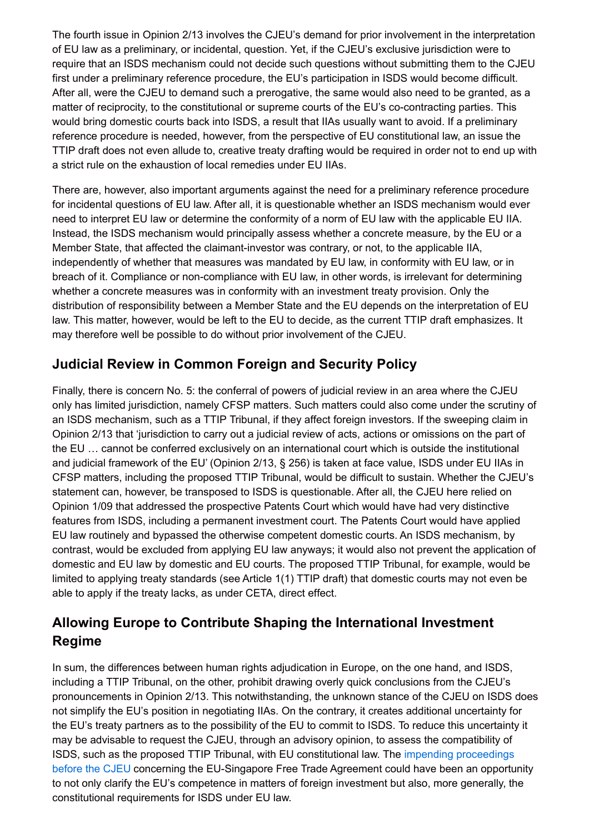The fourth issue in Opinion 2/13 involves the CJEU's demand for prior involvement in the interpretation of EU law as a preliminary, or incidental, question. Yet, if the CJEU's exclusive jurisdiction were to require that an ISDS mechanism could not decide such questions without submitting them to the CJEU first under a preliminary reference procedure, the EU's participation in ISDS would become difficult. After all, were the CJEU to demand such a prerogative, the same would also need to be granted, as a matter of reciprocity, to the constitutional or supreme courts of the EU's co-contracting parties. This would bring domestic courts back into ISDS, a result that IIAs usually want to avoid. If a preliminary reference procedure is needed, however, from the perspective of EU constitutional law, an issue the TTIP draft does not even allude to, creative treaty drafting would be required in order not to end up with a strict rule on the exhaustion of local remedies under EU IIAs.

There are, however, also important arguments against the need for a preliminary reference procedure for incidental questions of EU law. After all, it is questionable whether an ISDS mechanism would ever need to interpret EU law or determine the conformity of a norm of EU law with the applicable EU IIA. Instead, the ISDS mechanism would principally assess whether a concrete measure, by the EU or a Member State, that affected the claimant-investor was contrary, or not, to the applicable IIA, independently of whether that measures was mandated by EU law, in conformity with EU law, or in breach of it. Compliance or non-compliance with EU law, in other words, is irrelevant for determining whether a concrete measures was in conformity with an investment treaty provision. Only the distribution of responsibility between a Member State and the EU depends on the interpretation of EU law. This matter, however, would be left to the EU to decide, as the current TTIP draft emphasizes. It may therefore well be possible to do without prior involvement of the CJEU.

## **Judicial Review in Common Foreign and Security Policy**

Finally, there is concern No. 5: the conferral of powers of judicial review in an area where the CJEU only has limited jurisdiction, namely CFSP matters. Such matters could also come under the scrutiny of an ISDS mechanism, such as a TTIP Tribunal, if they affect foreign investors. If the sweeping claim in Opinion 2/13 that 'jurisdiction to carry out a judicial review of acts, actions or omissions on the part of the EU … cannot be conferred exclusively on an international court which is outside the institutional and judicial framework of the EU' (Opinion 2/13, § 256) is taken at face value, ISDS under EU IIAs in CFSP matters, including the proposed TTIP Tribunal, would be difficult to sustain. Whether the CJEU's statement can, however, be transposed to ISDS is questionable. After all, the CJEU here relied on Opinion 1/09 that addressed the prospective Patents Court which would have had very distinctive features from ISDS, including a permanent investment court. The Patents Court would have applied EU law routinely and bypassed the otherwise competent domestic courts. An ISDS mechanism, by contrast, would be excluded from applying EU law anyways; it would also not prevent the application of domestic and EU law by domestic and EU courts. The proposed TTIP Tribunal, for example, would be limited to applying treaty standards (see Article 1(1) TTIP draft) that domestic courts may not even be able to apply if the treaty lacks, as under CETA, direct effect.

## **Allowing Europe to Contribute Shaping the International Investment Regime**

In sum, the differences between human rights adjudication in Europe, on the one hand, and ISDS, including a TTIP Tribunal, on the other, prohibit drawing overly quick conclusions from the CJEU's pronouncements in Opinion 2/13. This notwithstanding, the unknown stance of the CJEU on ISDS does not simplify the EU's position in negotiating IIAs. On the contrary, it creates additional uncertainty for the EU's treaty partners as to the possibility of the EU to commit to ISDS. To reduce this uncertainty it may be advisable to request the CJEU, through an advisory opinion, to assess the compatibility of ISDS, such as the proposed TTIP Tribunal, with EU constitutional law. The impending proceedings before the CJEU concerning the [EU-Singapore](http://trade.ec.europa.eu/doclib/press/index.cfm?id=1185) Free Trade Agreement could have been an opportunity to not only clarify the EU's competence in matters of foreign investment but also, more generally, the constitutional requirements for ISDS under EU law.